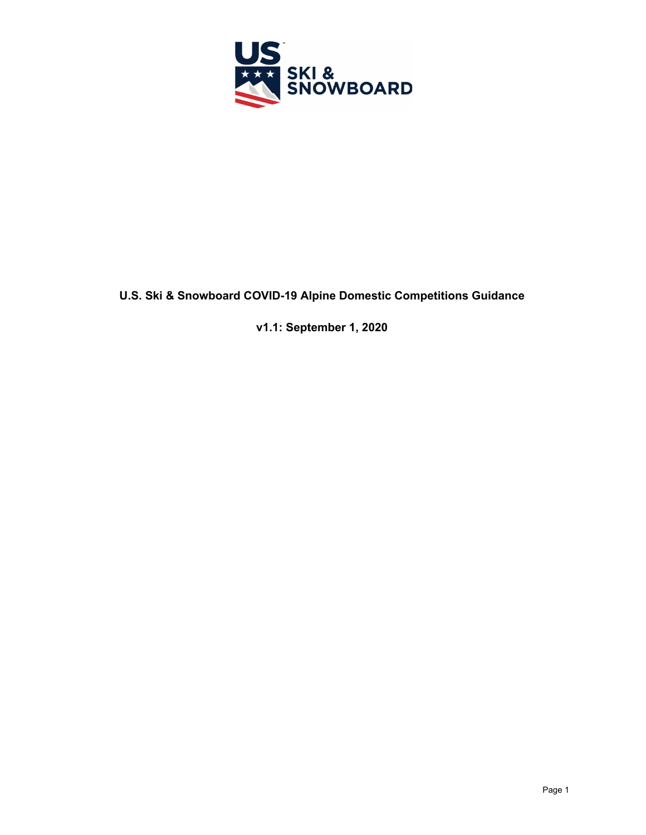

# **U.S. Ski & Snowboard COVID-19 Alpine Domestic Competitions Guidance**

**v1.1: September 1, 2020**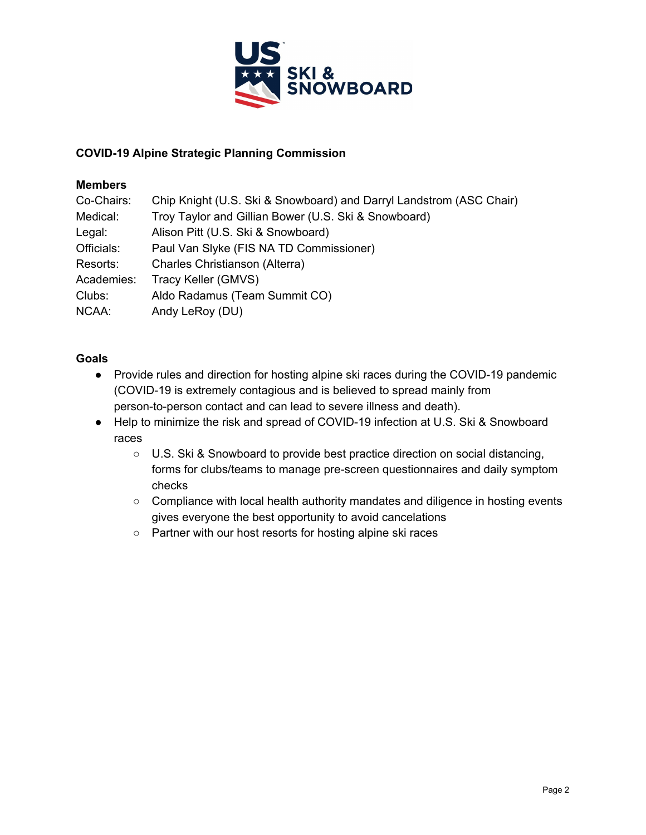

### **COVID-19 Alpine Strategic Planning Commission**

### **Members**

| Chip Knight (U.S. Ski & Snowboard) and Darryl Landstrom (ASC Chair) |
|---------------------------------------------------------------------|
| Troy Taylor and Gillian Bower (U.S. Ski & Snowboard)                |
| Alison Pitt (U.S. Ski & Snowboard)                                  |
| Paul Van Slyke (FIS NA TD Commissioner)                             |
| Charles Christianson (Alterra)                                      |
| Tracy Keller (GMVS)                                                 |
| Aldo Radamus (Team Summit CO)                                       |
| Andy LeRoy (DU)                                                     |
|                                                                     |

#### **Goals**

- Provide rules and direction for hosting alpine ski races during the COVID-19 pandemic (COVID-19 is extremely contagious and is believed to spread mainly from person-to-person contact and can lead to severe illness and death).
- Help to minimize the risk and spread of COVID-19 infection at U.S. Ski & Snowboard races
	- U.S. Ski & Snowboard to provide best practice direction on social distancing, forms for clubs/teams to manage pre-screen questionnaires and daily symptom checks
	- Compliance with local health authority mandates and diligence in hosting events gives everyone the best opportunity to avoid cancelations
	- Partner with our host resorts for hosting alpine ski races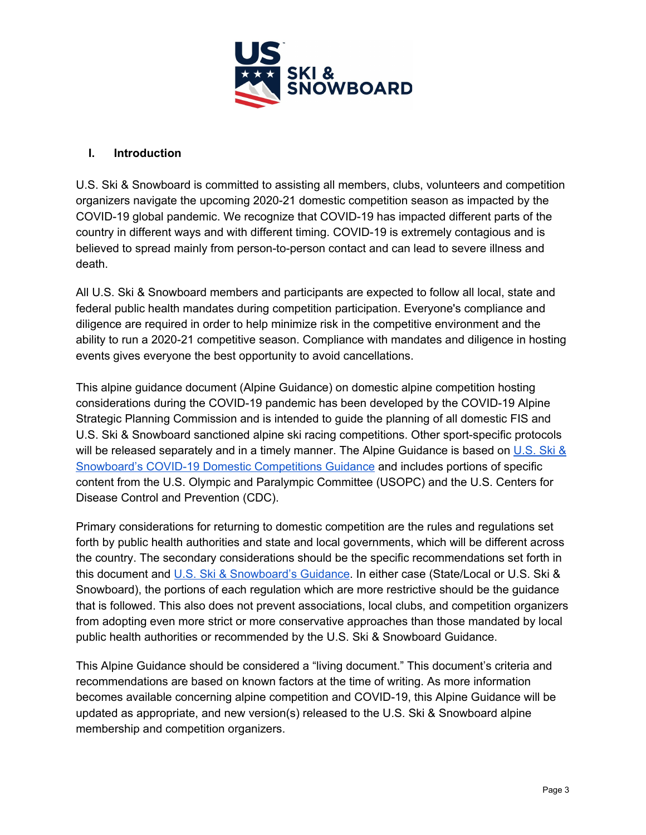

#### **I. Introduction**

U.S. Ski & Snowboard is committed to assisting all members, clubs, volunteers and competition organizers navigate the upcoming 2020-21 domestic competition season as impacted by the COVID-19 global pandemic. We recognize that COVID-19 has impacted different parts of the country in different ways and with different timing. COVID-19 is extremely contagious and is believed to spread mainly from person-to-person contact and can lead to severe illness and death.

All U.S. Ski & Snowboard members and participants are expected to follow all local, state and federal public health mandates during competition participation. Everyone's compliance and diligence are required in order to help minimize risk in the competitive environment and the ability to run a 2020-21 competitive season. Compliance with mandates and diligence in hosting events gives everyone the best opportunity to avoid cancellations.

This alpine guidance document (Alpine Guidance) on domestic alpine competition hosting considerations during the COVID-19 pandemic has been developed by the COVID-19 Alpine Strategic Planning Commission and is intended to guide the planning of all domestic FIS and U.S. Ski & Snowboard sanctioned alpine ski racing competitions. Other sport-specific protocols will be released separately and in a timely manner. The Alpine Guidance is based on [U.S.](https://usskiandsnowboard.org/covid-19/return-competition) Ski & Snowboard's COVID-19 Domestic [Competitions](https://usskiandsnowboard.org/covid-19/return-competition) Guidance and includes portions of specific content from the U.S. Olympic and Paralympic Committee (USOPC) and the U.S. Centers for Disease Control and Prevention (CDC).

Primary considerations for returning to domestic competition are the rules and regulations set forth by public health authorities and state and local governments, which will be different across the country. The secondary considerations should be the specific recommendations set forth in this document and U.S. Ski & [Snowboard's](https://usskiandsnowboard.org/covid-19/return-competition) Guidance. In either case (State/Local or U.S. Ski & Snowboard), the portions of each regulation which are more restrictive should be the guidance that is followed. This also does not prevent associations, local clubs, and competition organizers from adopting even more strict or more conservative approaches than those mandated by local public health authorities or recommended by the U.S. Ski & Snowboard Guidance.

This Alpine Guidance should be considered a "living document." This document's criteria and recommendations are based on known factors at the time of writing. As more information becomes available concerning alpine competition and COVID-19, this Alpine Guidance will be updated as appropriate, and new version(s) released to the U.S. Ski & Snowboard alpine membership and competition organizers.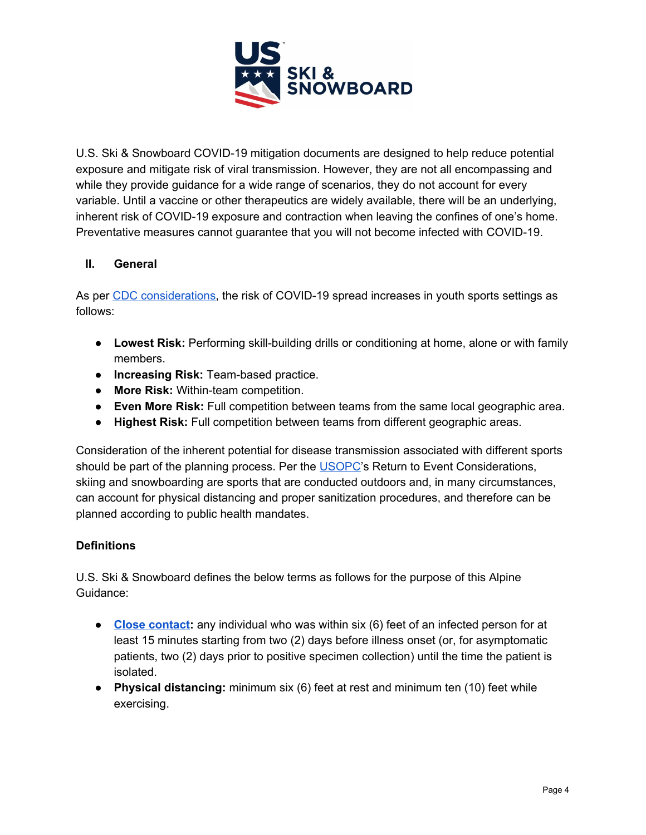

U.S. Ski & Snowboard COVID-19 mitigation documents are designed to help reduce potential exposure and mitigate risk of viral transmission. However, they are not all encompassing and while they provide guidance for a wide range of scenarios, they do not account for every variable. Until a vaccine or other therapeutics are widely available, there will be an underlying, inherent risk of COVID-19 exposure and contraction when leaving the confines of one's home. Preventative measures cannot guarantee that you will not become infected with COVID-19.

## **II. General**

As per CDC [considerations,](https://www.cdc.gov/coronavirus/2019-ncov/community/schools-childcare/youth-sports.html) the risk of COVID-19 spread increases in youth sports settings as follows:

- **Lowest Risk:** Performing skill-building drills or conditioning at home, alone or with family members.
- **Increasing Risk:** Team-based practice.
- **More Risk:** Within-team competition.
- **Even More Risk:** Full competition between teams from the same local geographic area.
- **Highest Risk:** Full competition between teams from different geographic areas.

Consideration of the inherent potential for disease transmission associated with different sports should be part of the planning process. Per the [USOPC](https://www.teamusa.org/coronavirus)'s Return to Event Considerations, skiing and snowboarding are sports that are conducted outdoors and, in many circumstances, can account for physical distancing and proper sanitization procedures, and therefore can be planned according to public health mandates.

## **Definitions**

U.S. Ski & Snowboard defines the below terms as follows for the purpose of this Alpine Guidance:

- **Close [contact](https://www.cdc.gov/coronavirus/2019-ncov/php/contact-tracing/contact-tracing-plan/appendix.html#contact):** any individual who was within six (6) feet of an infected person for at least 15 minutes starting from two (2) days before illness onset (or, for asymptomatic patients, two (2) days prior to positive specimen collection) until the time the patient is isolated.
- **● Physical distancing:** minimum six (6) feet at rest and minimum ten (10) feet while exercising.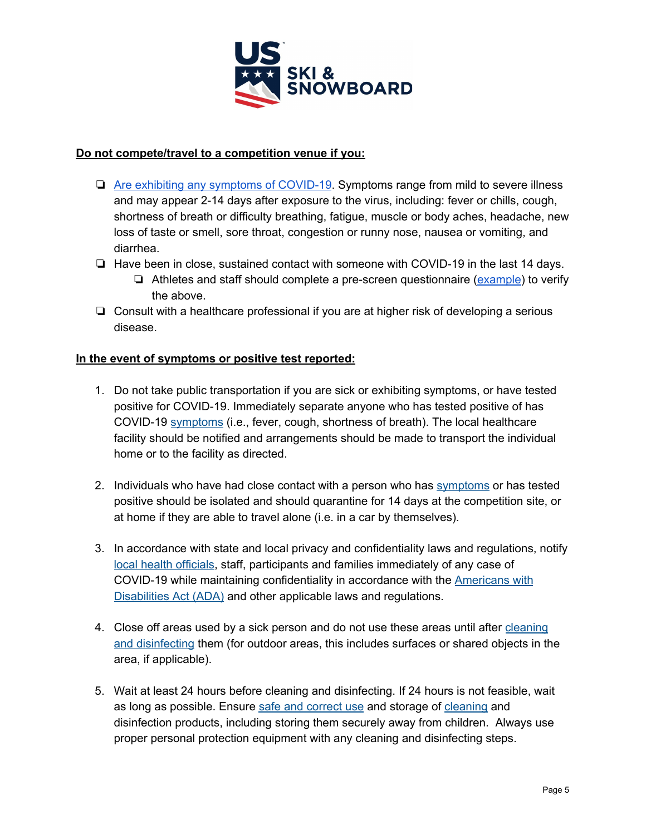

### **Do not compete/travel to a competition venue if you:**

- ❏ Are exhibiting any symptoms of [COVID-19](https://www.cdc.gov/coronavirus/2019-ncov/symptoms-testing/symptoms.html). Symptoms range from mild to severe illness and may appear 2-14 days after exposure to the virus, including: fever or chills, cough, shortness of breath or difficulty breathing, fatigue, muscle or body aches, headache, new loss of taste or smell, sore throat, congestion or runny nose, nausea or vomiting, and diarrhea.
- ❏ Have been in close, sustained contact with someone with COVID-19 in the last 14 days.
	- ❏ Athletes and staff should complete a pre-screen questionnaire [\(example](https://usskiandsnowboard.org/sites/default/files/files-resources/files/2020/COVID%20Website%20Resource%20-%20Pre%20Screen.pdf)) to verify the above.
- ❏ Consult with a healthcare professional if you are at higher risk of developing a serious disease.

### **In the event of symptoms or positive test reported:**

- 1. Do not take public transportation if you are sick or exhibiting symptoms, or have tested positive for COVID-19. Immediately separate anyone who has tested positive of has COVID-19 [symptoms](https://www.cdc.gov/coronavirus/2019-ncov/symptoms-testing/symptoms.html) (i.e., fever, cough, shortness of breath). The local healthcare facility should be notified and arrangements should be made to transport the individual home or to the facility as directed.
- 2. Individuals who have had close contact with a person who has [symptoms](https://www.cdc.gov/coronavirus/2019-ncov/symptoms-testing/symptoms.html) or has tested positive should be isolated and should quarantine for 14 days at the competition site, or at home if they are able to travel alone (i.e. in a car by themselves).
- 3. In accordance with state and local privacy and confidentiality laws and regulations, notify local health [officials](https://www.cdc.gov/publichealthgateway/healthdirectories/index.html), staff, participants and families immediately of any case of COVID-19 while maintaining confidentiality in accordance with the **[Americans](https://www.eeoc.gov/facts/pandemic_flu.html) with** [Disabilities](https://www.eeoc.gov/facts/pandemic_flu.html) Act (ADA) and other applicable laws and regulations.
- 4. Close off areas used by a sick person and do not use these areas until after [cleaning](https://www.cdc.gov/coronavirus/2019-ncov/community/clean-disinfect/index.html) and [disinfecting](https://www.cdc.gov/coronavirus/2019-ncov/community/clean-disinfect/index.html) them (for outdoor areas, this includes surfaces or shared objects in the area, if applicable).
- 5. Wait at least 24 hours before cleaning and disinfecting. If 24 hours is not feasible, wait as long as possible. Ensure safe and [correct](https://www.cdc.gov/coronavirus/2019-ncov/community/disinfecting-building-facility.html) use and storage of [cleaning](https://www.epa.gov/pesticide-registration/list-n-disinfectants-use-against-sars-cov-2) and disinfection products, including storing them securely away from children. Always use proper personal protection equipment with any cleaning and disinfecting steps.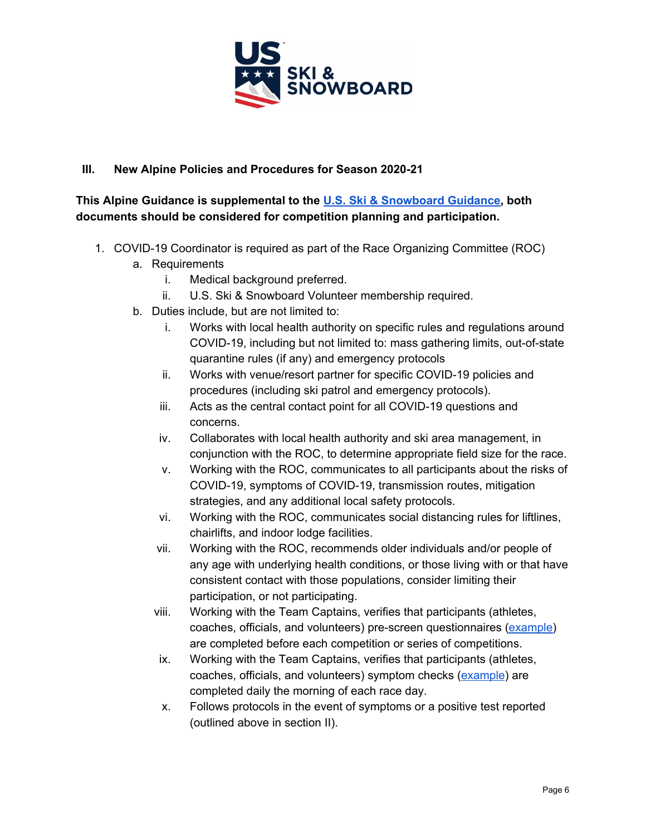

# **III. New Alpine Policies and Procedures for Season 2020-21**

# **This Alpine Guidance is supplemental to the U.S. Ski & [Snowboard](https://usskiandsnowboard.org/covid-19/return-competition) Guidance, both documents should be considered for competition planning and participation.**

- 1. COVID-19 Coordinator is required as part of the Race Organizing Committee (ROC)
	- a. Requirements
		- i. Medical background preferred.
		- ii. U.S. Ski & Snowboard Volunteer membership required.
	- b. Duties include, but are not limited to:
		- i. Works with local health authority on specific rules and regulations around COVID-19, including but not limited to: mass gathering limits, out-of-state quarantine rules (if any) and emergency protocols
		- ii. Works with venue/resort partner for specific COVID-19 policies and procedures (including ski patrol and emergency protocols).
		- iii. Acts as the central contact point for all COVID-19 questions and concerns.
		- iv. Collaborates with local health authority and ski area management, in conjunction with the ROC, to determine appropriate field size for the race.
		- v. Working with the ROC, communicates to all participants about the risks of COVID-19, symptoms of COVID-19, transmission routes, mitigation strategies, and any additional local safety protocols.
		- vi. Working with the ROC, communicates social distancing rules for liftlines, chairlifts, and indoor lodge facilities.
		- vii. Working with the ROC, recommends older individuals and/or people of any age with underlying health conditions, or those living with or that have consistent contact with those populations, consider limiting their participation, or not participating.
		- viii. Working with the Team Captains, verifies that participants (athletes, coaches, officials, and volunteers) pre-screen questionnaires [\(example\)](https://usskiandsnowboard.org/sites/default/files/files-resources/files/2020/COVID%20Website%20Resource%20-%20Pre%20Screen.pdf) are completed before each competition or series of competitions.
		- ix. Working with the Team Captains, verifies that participants (athletes, coaches, officials, and volunteers) symptom checks [\(example](https://usskiandsnowboard.org/sites/default/files/files-resources/files/2020/COVID%20Website%20Resource%20-%20Symptom%20check.pdf)) are completed daily the morning of each race day.
		- x. Follows protocols in the event of symptoms or a positive test reported (outlined above in section II).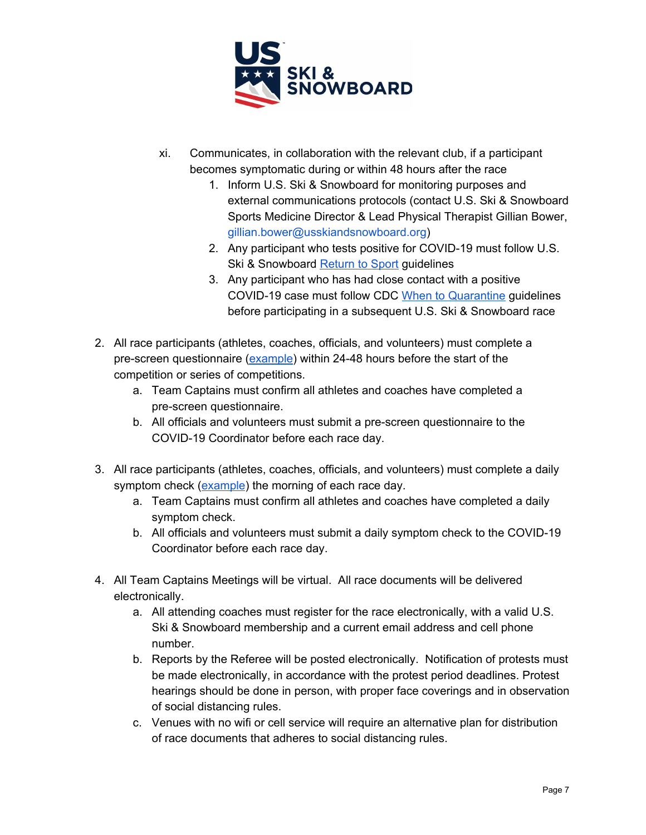

- xi. Communicates, in collaboration with the relevant club, if a participant becomes symptomatic during or within 48 hours after the race
	- 1. Inform U.S. Ski & Snowboard for monitoring purposes and external communications protocols (contact U.S. Ski & Snowboard Sports Medicine Director & Lead Physical Therapist Gillian Bower, gillian.bower@usskiandsnowboard.org)
	- 2. Any participant who tests positive for COVID-19 must follow U.S. Ski & Snowboar[d](https://usskiandsnowboard.org/covid-19/return-after-being-covid-19-positive) [Return](https://usskiandsnowboard.org/covid-19/return-after-being-covid-19-positive) to Sport guidelines
	- 3. Any participant who has had close contact with a positive COVID-19 case must follow CDC [W](https://www.cdc.gov/coronavirus/2019-ncov/if-you-are-sick/quarantine.html?CDC_AA_refVal=https%3A%2F%2Fwww.cdc.gov%2Fcoronavirus%2F2019-ncov%2Fif-you-are-sick%2Fquarantine-isolation.html)hen to [Quarantine](https://www.cdc.gov/coronavirus/2019-ncov/if-you-are-sick/quarantine.html?CDC_AA_refVal=https%3A%2F%2Fwww.cdc.gov%2Fcoronavirus%2F2019-ncov%2Fif-you-are-sick%2Fquarantine-isolation.html) guidelines before participating in a subsequent U.S. Ski & Snowboard race
- 2. All race participants (athletes, coaches, officials, and volunteers) must complete a pre-screen questionnaire [\(example\)](https://usskiandsnowboard.org/sites/default/files/files-resources/files/2020/COVID%20Website%20Resource%20-%20Pre%20Screen.pdf) within 24-48 hours before the start of the competition or series of competitions.
	- a. Team Captains must confirm all athletes and coaches have completed a pre-screen questionnaire.
	- b. All officials and volunteers must submit a pre-screen questionnaire to the COVID-19 Coordinator before each race day.
- 3. All race participants (athletes, coaches, officials, and volunteers) must complete a daily symptom check [\(example](https://usskiandsnowboard.org/sites/default/files/files-resources/files/2020/COVID%20Website%20Resource%20-%20Symptom%20check.pdf)) the morning of each race day.
	- a. Team Captains must confirm all athletes and coaches have completed a daily symptom check.
	- b. All officials and volunteers must submit a daily symptom check to the COVID-19 Coordinator before each race day.
- 4. All Team Captains Meetings will be virtual. All race documents will be delivered electronically.
	- a. All attending coaches must register for the race electronically, with a valid U.S. Ski & Snowboard membership and a current email address and cell phone number.
	- b. Reports by the Referee will be posted electronically. Notification of protests must be made electronically, in accordance with the protest period deadlines. Protest hearings should be done in person, with proper face coverings and in observation of social distancing rules.
	- c. Venues with no wifi or cell service will require an alternative plan for distribution of race documents that adheres to social distancing rules.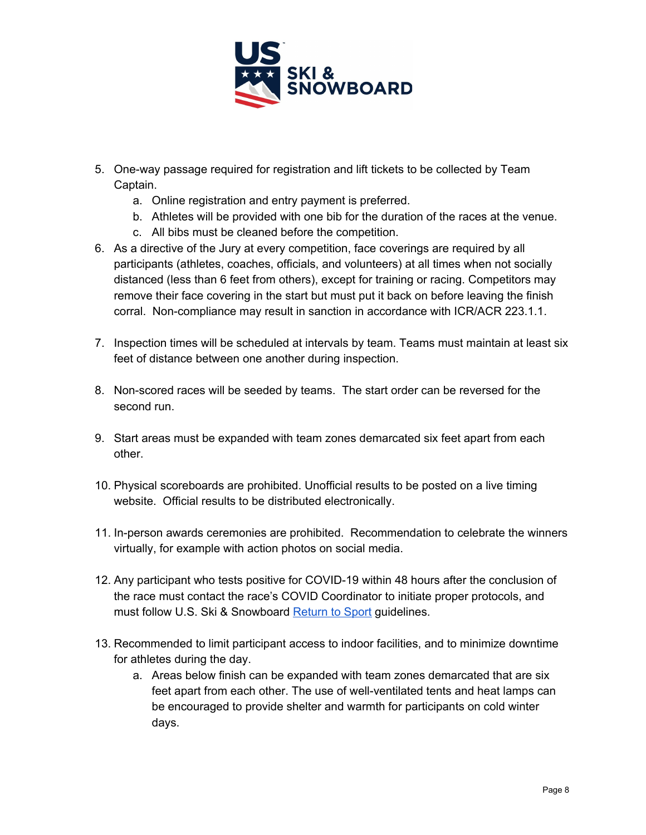

- 5. One-way passage required for registration and lift tickets to be collected by Team Captain.
	- a. Online registration and entry payment is preferred.
	- b. Athletes will be provided with one bib for the duration of the races at the venue.
	- c. All bibs must be cleaned before the competition.
- 6. As a directive of the Jury at every competition, face coverings are required by all participants (athletes, coaches, officials, and volunteers) at all times when not socially distanced (less than 6 feet from others), except for training or racing. Competitors may remove their face covering in the start but must put it back on before leaving the finish corral. Non-compliance may result in sanction in accordance with ICR/ACR 223.1.1.
- 7. Inspection times will be scheduled at intervals by team. Teams must maintain at least six feet of distance between one another during inspection.
- 8. Non-scored races will be seeded by teams. The start order can be reversed for the second run.
- 9. Start areas must be expanded with team zones demarcated six feet apart from each other.
- 10. Physical scoreboards are prohibited. Unofficial results to be posted on a live timing website. Official results to be distributed electronically.
- 11. In-person awards ceremonies are prohibited. Recommendation to celebrate the winners virtually, for example with action photos on social media.
- 12. Any participant who tests positive for COVID-19 within 48 hours after the conclusion of the race must contact the race's COVID Coordinator to initiate proper protocols, and must follow U.S. Ski & Snowboar[d](https://usskiandsnowboard.org/covid-19/return-after-being-covid-19-positive) [Return](https://usskiandsnowboard.org/covid-19/return-after-being-covid-19-positive) to Sport guidelines.
- 13. Recommended to limit participant access to indoor facilities, and to minimize downtime for athletes during the day.
	- a. Areas below finish can be expanded with team zones demarcated that are six feet apart from each other. The use of well-ventilated tents and heat lamps can be encouraged to provide shelter and warmth for participants on cold winter days.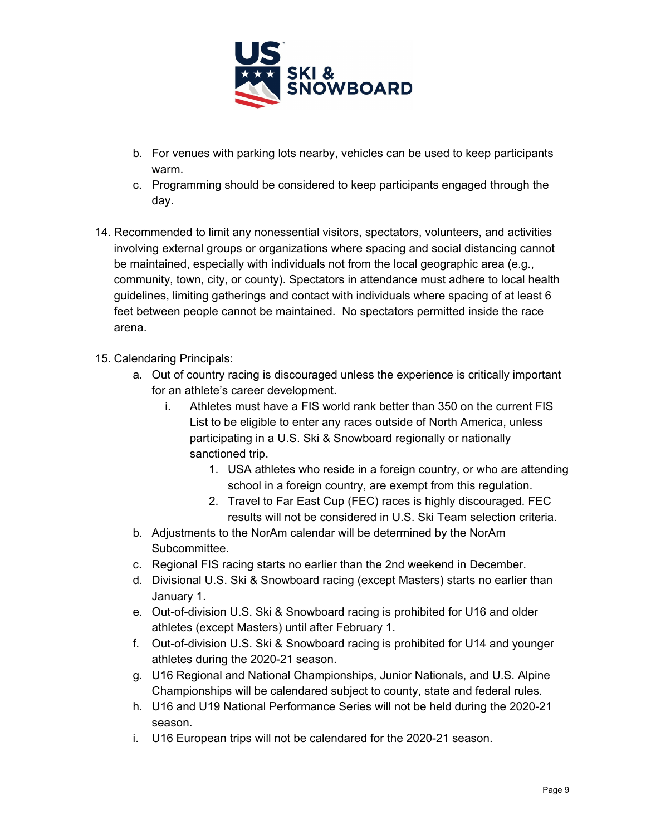

- b. For venues with parking lots nearby, vehicles can be used to keep participants warm.
- c. Programming should be considered to keep participants engaged through the day.
- 14. Recommended to limit any nonessential visitors, spectators, volunteers, and activities involving external groups or organizations where spacing and social distancing cannot be maintained, especially with individuals not from the local geographic area (e.g., community, town, city, or county). Spectators in attendance must adhere to local health guidelines, limiting gatherings and contact with individuals where spacing of at least 6 feet between people cannot be maintained. No spectators permitted inside the race arena.
- 15. Calendaring Principals:
	- a. Out of country racing is discouraged unless the experience is critically important for an athlete's career development.
		- i. Athletes must have a FIS world rank better than 350 on the current FIS List to be eligible to enter any races outside of North America, unless participating in a U.S. Ski & Snowboard regionally or nationally sanctioned trip.
			- 1. USA athletes who reside in a foreign country, or who are attending school in a foreign country, are exempt from this regulation.
			- 2. Travel to Far East Cup (FEC) races is highly discouraged. FEC results will not be considered in U.S. Ski Team selection criteria.
	- b. Adjustments to the NorAm calendar will be determined by the NorAm Subcommittee.
	- c. Regional FIS racing starts no earlier than the 2nd weekend in December.
	- d. Divisional U.S. Ski & Snowboard racing (except Masters) starts no earlier than January 1.
	- e. Out-of-division U.S. Ski & Snowboard racing is prohibited for U16 and older athletes (except Masters) until after February 1.
	- f. Out-of-division U.S. Ski & Snowboard racing is prohibited for U14 and younger athletes during the 2020-21 season.
	- g. U16 Regional and National Championships, Junior Nationals, and U.S. Alpine Championships will be calendared subject to county, state and federal rules.
	- h. U16 and U19 National Performance Series will not be held during the 2020-21 season.
	- i. U16 European trips will not be calendared for the 2020-21 season.